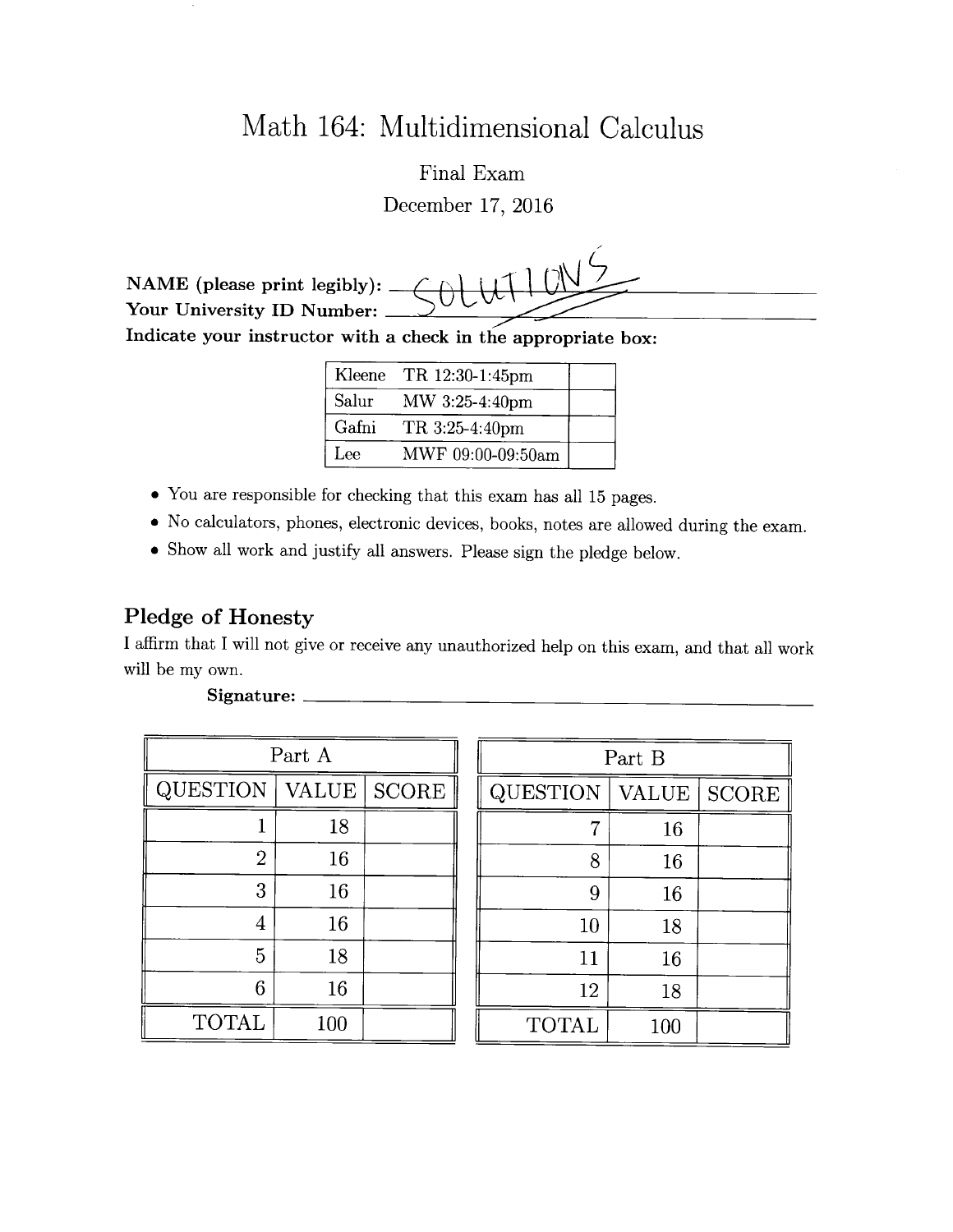# Math 164: Multidimensional Calculus

Final Exam December 17, 2016

NAME (please print legibly):  $\_\$ Your University ID Number:

Indicate your instructor with a check in the appropriate box:

| Kleene | TR 12:30-1:45pm   |  |
|--------|-------------------|--|
| Salur  | MW 3:25-4:40pm    |  |
| Gafni  | TR 3:25-4:40pm    |  |
| Lee    | MWF 09:00-09:50am |  |

- You are responsible for checking that this exam has all 15 pages.
- o No calculators, phones, electronic devices, books, notes are allowed during the exam.
- 0 Show all work and justify all answers. Please sign the pledge below.

#### Pledge of Honesty

I affirm that I will not give or receive any unauthorized help on this exam, and that all work will be my own.

| Part A          |              |              |  |  |  |  |
|-----------------|--------------|--------------|--|--|--|--|
| <b>QUESTION</b> | <b>VALUE</b> | <b>SCORE</b> |  |  |  |  |
| ı               | 18           |              |  |  |  |  |
| $\overline{2}$  | 16           |              |  |  |  |  |
| 3               | 16           |              |  |  |  |  |
| 4               | 16           |              |  |  |  |  |
| 5               | 18           |              |  |  |  |  |
| 6               | 16           |              |  |  |  |  |
| <b>TOTAL</b>    | 100          |              |  |  |  |  |

| Part A         |       |              | Part B          |       |              |
|----------------|-------|--------------|-----------------|-------|--------------|
| QUESTION       | VALUE | <b>SCORE</b> | <b>QUESTION</b> | VALUE | <b>SCORE</b> |
|                | 18    |              | ⇁               | 16    |              |
| $\overline{2}$ | 16    |              | 8               | 16    |              |
| 3              | 16    |              | 9               | 16    |              |
| 4              | 16    |              | 10              | 18    |              |
| 5              | 18    |              | 11              | 16    |              |
| 6              | 16    |              | 12              | 18    |              |
| <b>TOTAL</b>   | 100   |              | <b>TOTAL</b>    | 100   |              |

#### Signature: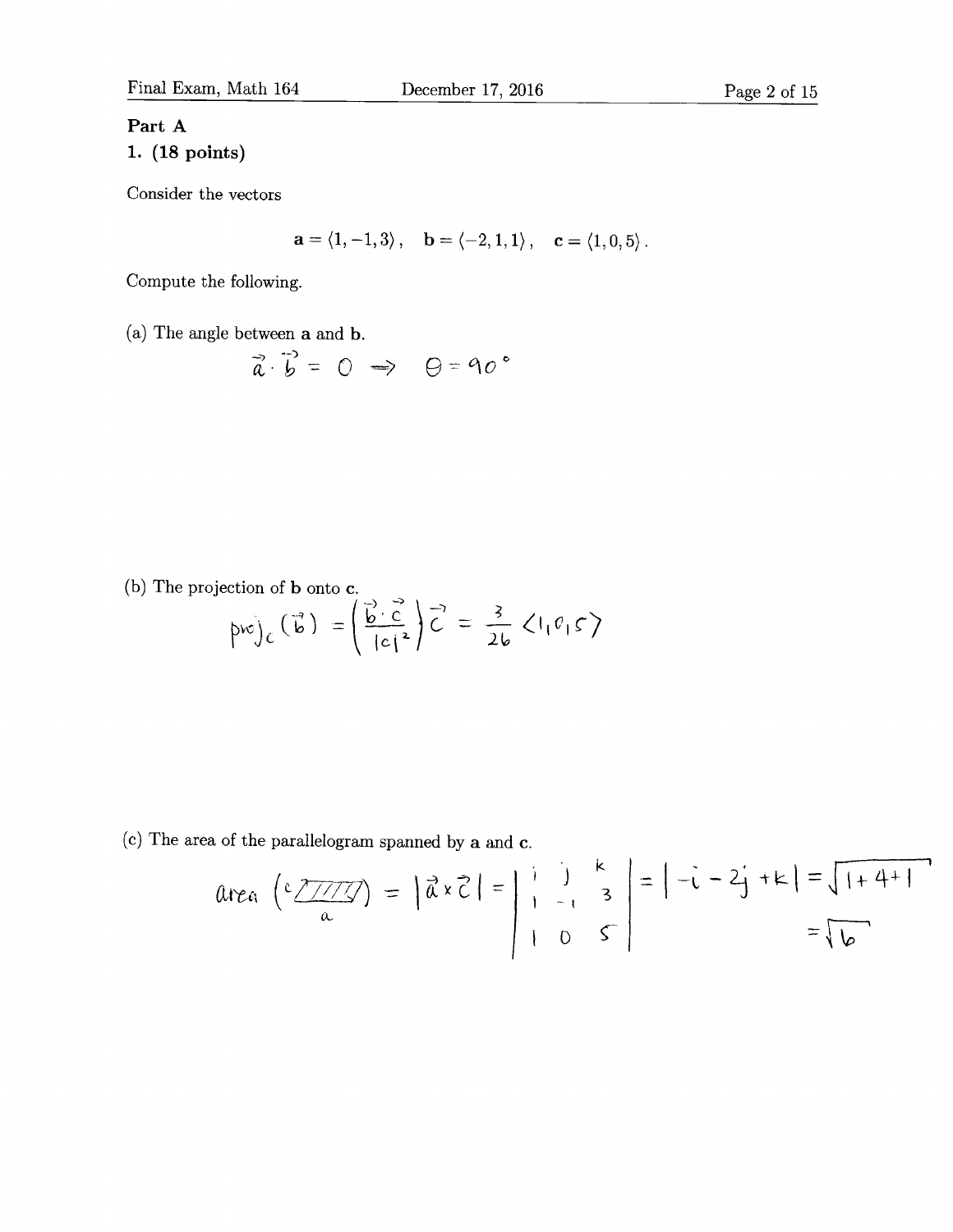#### Part A

### 1. (18 points)

Consider the vectors

$$
\mathbf{a}=\left\langle 1,-1,3\right\rangle ,\quad \mathbf{b}=\left\langle -2,1,1\right\rangle ,\quad \mathbf{c}=\left\langle 1,0,5\right\rangle .
$$

Compute the following.

(a) The angle between a and b.

$$
\vec{a}\cdot\vec{b} = 0 \implies \Theta = 90^{\circ}
$$

(b) The projection of **b** onto **c**.

$$
p w \bigg|_C \left(\vec{b}\right) = \left(\frac{\vec{b} \cdot \vec{c}}{|c|^2}\right) \vec{c} = \frac{3}{2b} \langle 1_1 \vec{c}_1 \vec{c} \rangle
$$

(c) The area of the parallelogram spanned by  $a$  and  $c$ .

$$
Area\left(\frac{c\sqrt{1/7}}{a}\right) = \left|\vec{a}\times\vec{c}\right| = \begin{vmatrix} 1 & 1 & k \\ 1 & -1 & 3 \\ 1 & 0 & \vec{c} \end{vmatrix} = \left| -1 - 2j + k \right| = \sqrt{1 + 4 + 1}
$$

$$
= \sqrt{6}
$$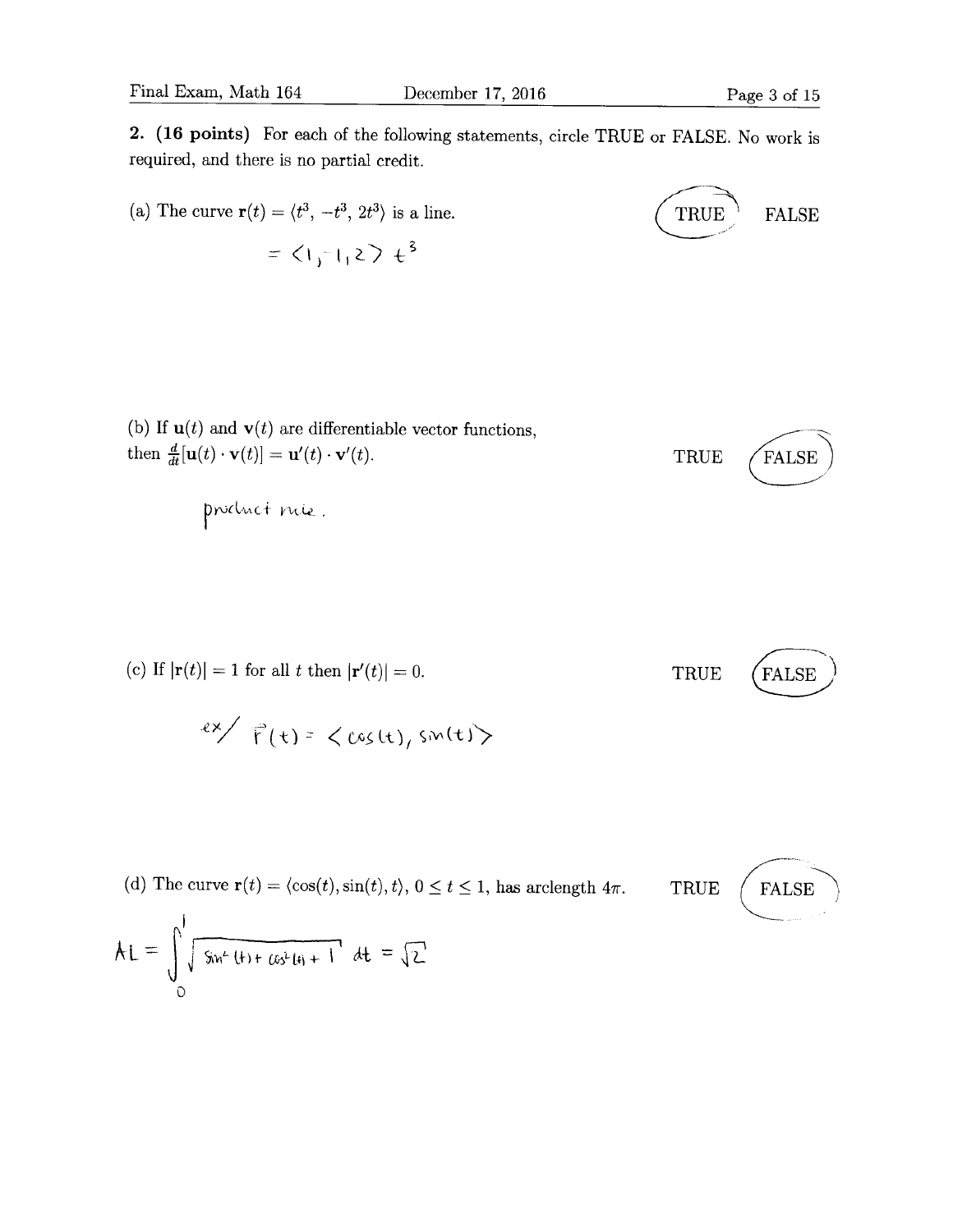(a) The curve 
$$
\mathbf{r}(t) = \langle t^3, -t^3, 2t^3 \rangle
$$
 is a line.  
\n
$$
= \langle \mathbf{1}_j \cdot \mathbf{1}_j \rangle \langle t \rangle + \langle t \rangle
$$
\n
$$
= \langle \mathbf{1}_j \cdot \mathbf{1}_j \rangle + \langle t \rangle + \langle t \rangle
$$
\n
$$
= \langle t \rangle + \langle t \rangle + \langle t \rangle + \langle t \rangle + \langle t \rangle
$$
\n
$$
= \langle t \rangle + \langle t \rangle + \langle t \rangle + \langle t \rangle + \langle t \rangle + \langle t \rangle + \langle t \rangle + \langle t \rangle + \langle t \rangle + \langle t \rangle + \langle t \rangle + \langle t \rangle + \langle t \rangle + \langle t \rangle + \langle t \rangle + \langle t \rangle + \langle t \rangle + \langle t \rangle + \langle t \rangle + \langle t \rangle + \langle t \rangle + \langle t \rangle + \langle t \rangle + \langle t \rangle + \langle t \rangle + \langle t \rangle + \langle t \rangle + \langle t \rangle + \langle t \rangle + \langle t \rangle + \langle t \rangle + \langle t \rangle + \langle t \rangle + \langle t \rangle + \langle t \rangle + \langle t \rangle + \langle t \rangle + \langle t \rangle + \langle t \rangle + \langle t \rangle + \langle t \rangle + \langle t \rangle + \langle t \rangle + \langle t \rangle + \langle t \rangle + \langle t \rangle + \langle t \rangle + \langle t \rangle + \langle t \rangle + \langle t \rangle + \langle t \rangle + \langle t \rangle + \langle t \rangle + \langle t \rangle + \langle t \rangle + \langle t \rangle + \langle t \rangle + \langle t \rangle + \langle t \rangle + \langle t \rangle + \langle t \rangle + \langle t \rangle + \langle t \rangle + \langle t \rangle + \langle t \rangle + \langle t \rangle + \langle t \rangle + \langle t \rangle + \langle t \rangle + \langle t \rangle + \langle t \rangle + \langle t \rangle + \langle t \rangle + \langle t \rangle + \langle t \rangle + \langle t \rangle + \langle t \rangle + \langle t \rangle + \langle t \rangle + \langle t \rangle + \langle t \rangle + \langle t \rangle + \langle t \rangle + \langle t \rangle + \langle t \rangle + \langle t \rangle + \langle t \rangle + \langle t \rangle + \langle t \rangle + \langle t \rangle + \langle t \rangle + \langle t \rangle + \langle t \rangle + \langle t \rangle + \langle t \rangle + \langle t \rangle + \langle t \rangle + \langle t \rangle + \langle
$$

(b) If 
$$
\mathbf{u}(t)
$$
 and  $\mathbf{v}(t)$  are differentiable vector functions,  
then  $\frac{d}{dt}[\mathbf{u}(t) \cdot \mathbf{v}(t)] = \mathbf{u}'(t) \cdot \mathbf{v}'(t)$ .  
TRUE (FALSE)

product rue.

(c) If 
$$
|\mathbf{r}(t)| = 1
$$
 for all  $t$  then  $|\mathbf{r}'(t)| = 0$ .  
TRUE (FALSE)

$$
\sqrt{\epsilon} \times \sqrt{\epsilon}(t) = \langle \cos(t), \sin(t) \rangle
$$

(d) The curve 
$$
\mathbf{r}(t) = \langle \cos(t), \sin(t), t \rangle
$$
,  $0 \le t \le 1$ , has arclength  $4\pi$ . TRUE (FALSE)

$$
AL = \int_{0}^{1} \sqrt{8n^{2} (1 + \cos^{2} (4) + 1)} dt = \sqrt{2}
$$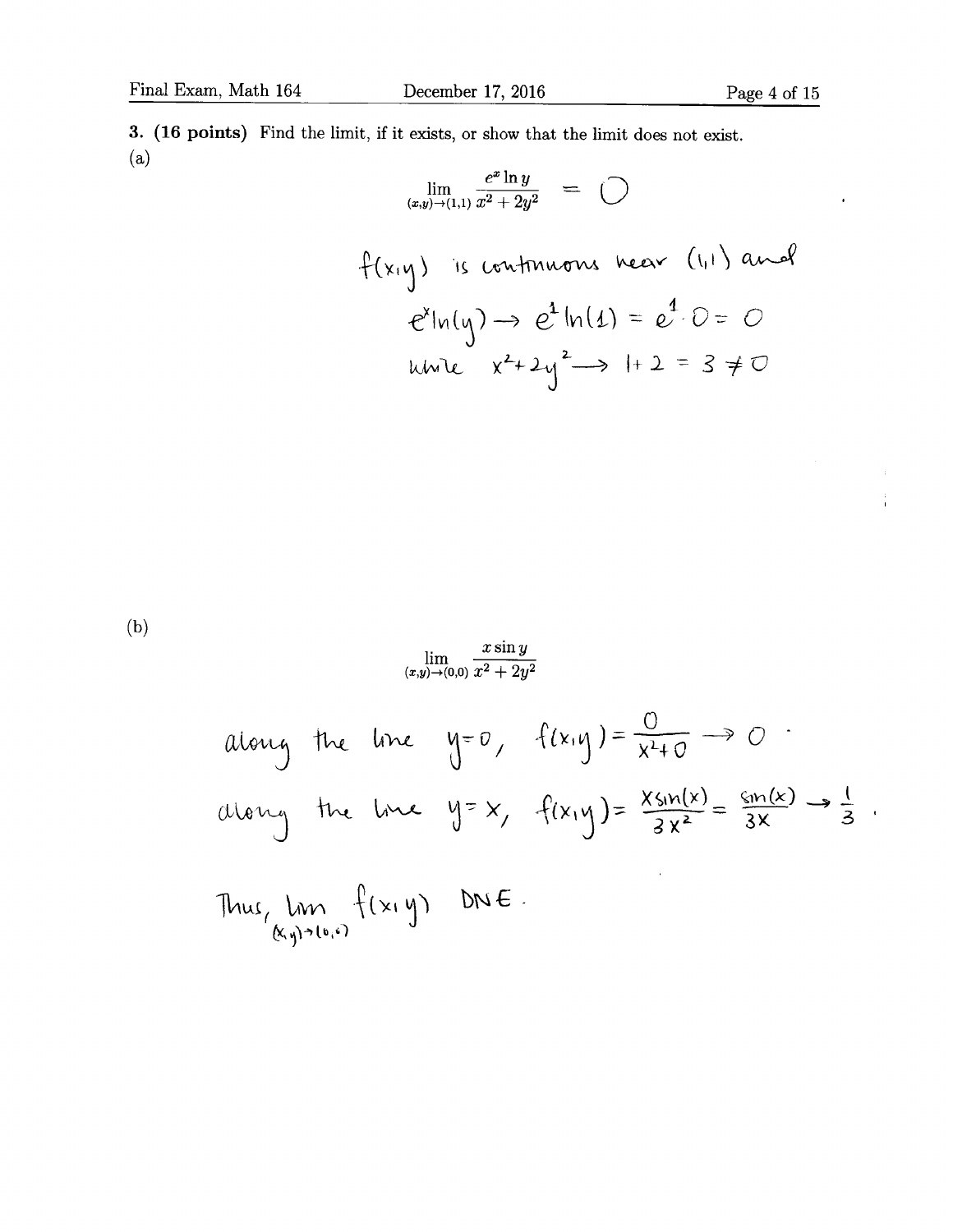$\frac{1}{1}$ 

 $\ddot{\phantom{0}}$ 

3. (16 points) Find the limit, if it exists, or show that the limit does not exist. (a)  $e^x \ln y$ 

$$
\lim_{(x,y)\to(1,1)}\frac{e^x\ln y}{x^2+2y^2} = \bigcirc
$$

$$
f(x,y) \text{ is continuous near } (1,1) \text{ and}
$$
\n
$$
e^{x}|_{M}(y) \rightarrow e^{x}|_{M}(1) = e^{x} \cdot 0 = 0
$$
\n
$$
w = x^{2} + 2y^{2} \rightarrow 1 + 2 = 3 \neq 0
$$

 $(b)$ 

$$
\lim_{(x,y)\to(0,0)}\frac{x\sin y}{x^2+2y^2}
$$

along the line 
$$
y=0
$$
,  $f(x,y) = \frac{0}{x^2+0} \rightarrow 0$   
along the line  $y=x$ ,  $f(x,y) = \frac{x \sin(x)}{3x^2} = \frac{\sin(x)}{3x} \rightarrow \frac{1}{3}$ 

Thus, 
$$
lim_{(x,y)\ni(x,y)} f(x,y)
$$
  $DWE$ .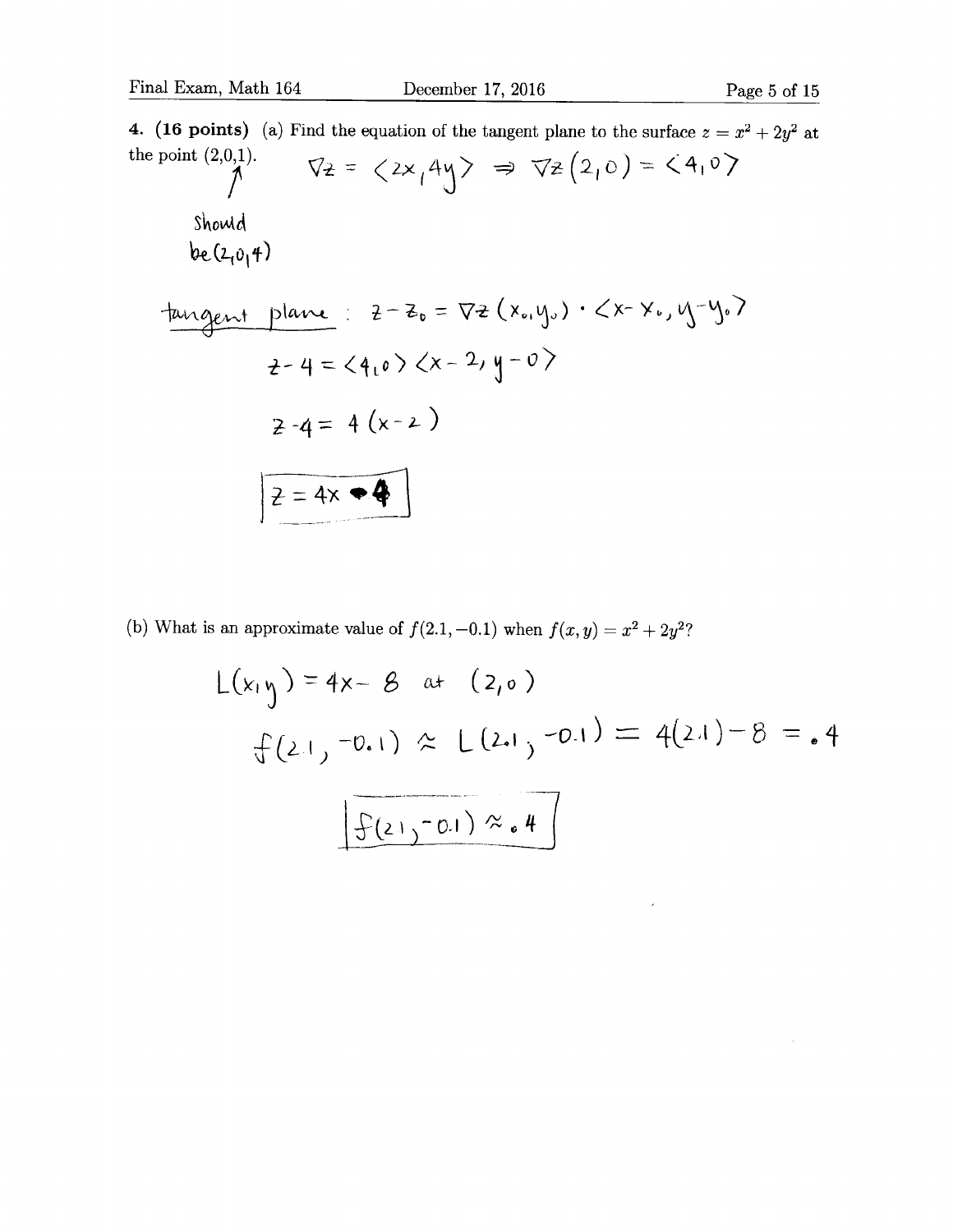4. (16 points) (a) Find the equation of the tangent plane to the surface  $z = x^2 + 2y^2$  at the point  $(2,0,1)$ .<br>  $\sqrt{2} = \langle 2x, 4y \rangle \implies \sqrt{2}(2,0) = \langle 4, 0 \rangle$ Should  $be(2,0,4)$  $tangent$  plane:  $2 - z_0 = \nabla z(x_{0}, y_{0}) \cdot \angle x - \times z_{0}, y_{0} - y_{0}$  $2-4 = 410$   $2x - 2$ ,  $y - 0$  $2 - 4 = 4 (x - 2)$  $Z = 4x$ 

(b) What is an approximate value of  $f(2.1, -0.1)$  when  $f(x, y) = x^2 + 2y^2$ ?

$$
L(x_1 y) = 4x - 8 \text{ at } (2,0)
$$
  

$$
f(2.1, -0.1) \approx L(2.1, -0.1) = 4(2.1) - 8 = .4
$$
  

$$
\boxed{\frac{1}{2}(2.1, -0.1) \approx .4}
$$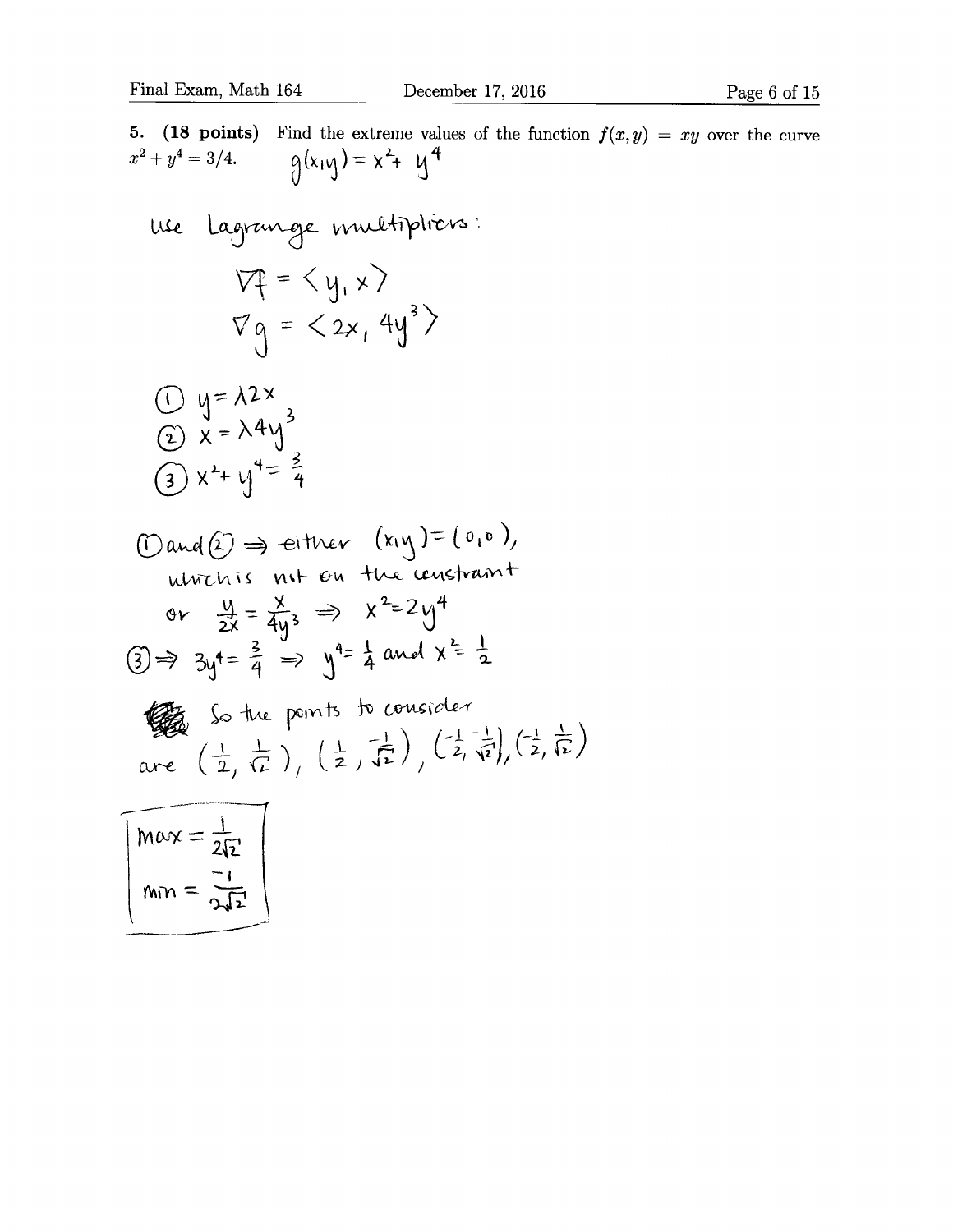5. (18 points) Find the extreme values of the function  $f(x, y) = xy$  over the curve  $x^2 + y^4 = 3/4.$   $q(x_1y) = x^2 + y^4$ use Lagrange multipliers:  $Vf = \langle y, x \rangle$  $\nabla g = \langle 2x, 4y^3 \rangle$  $\frac{1}{2}$  y=  $\frac{\lambda^{2}x}{x}$ <br> $\frac{1}{2}$  x =  $\lambda^{4}y^{3}$ (3)  $x^2 + y^4 = \frac{3}{4}$  $\text{(Dand (2) }\Rightarrow \text{ either } (x_1y_1)=(0,0),$ ultris not on the constraint or  $\frac{y}{2x} = \frac{x}{4y^3} \implies x^2 = 2y^4$  $\textcircled{3} \Rightarrow 3y^4 = \frac{2}{4} \Rightarrow y^4 = \frac{1}{4}$  and  $x = \frac{1}{2}$ So the points to consider are  $\left(\frac{1}{2},\frac{1}{12}\right), \left(\frac{1}{2},\frac{1}{12}\right), \left(\frac{1}{2},\frac{1}{12}\right), \left(\frac{1}{2},\frac{1}{12}\right)$  $\frac{1}{\ln n}$  $\frac{1}{2}$ 'l  $w_{\text{UV}} = \frac{\partial^4 F}{\partial x^2}$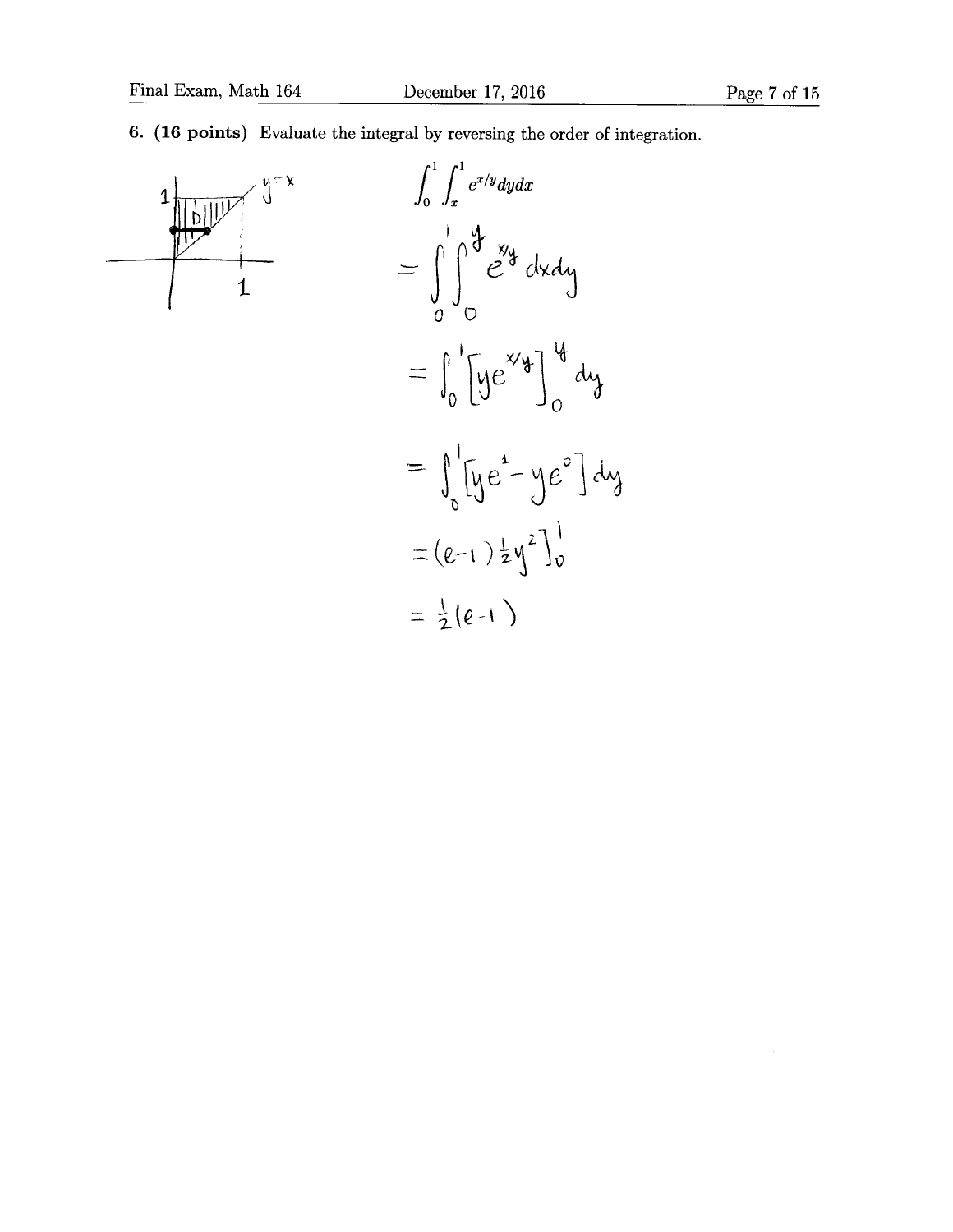## 6. (16 points) Evaluate the integral by reversing the order of integration.



$$
\int_{0}^{1} \int_{x}^{1} e^{x/y} dy dx
$$
\n
$$
= \int_{0}^{1} \int_{0}^{1} e^{xy} y dy dx
$$
\n
$$
= \int_{0}^{1} \left[ y e^{xy} \right]_{0}^{1} dy
$$
\n
$$
= \int_{0}^{1} \left[ y e^{x} - y e^{y} \right] dy
$$
\n
$$
= (e-1) \frac{1}{2} y^{2} \Big]_{0}^{1}
$$
\n
$$
= \frac{1}{2} (e-1)
$$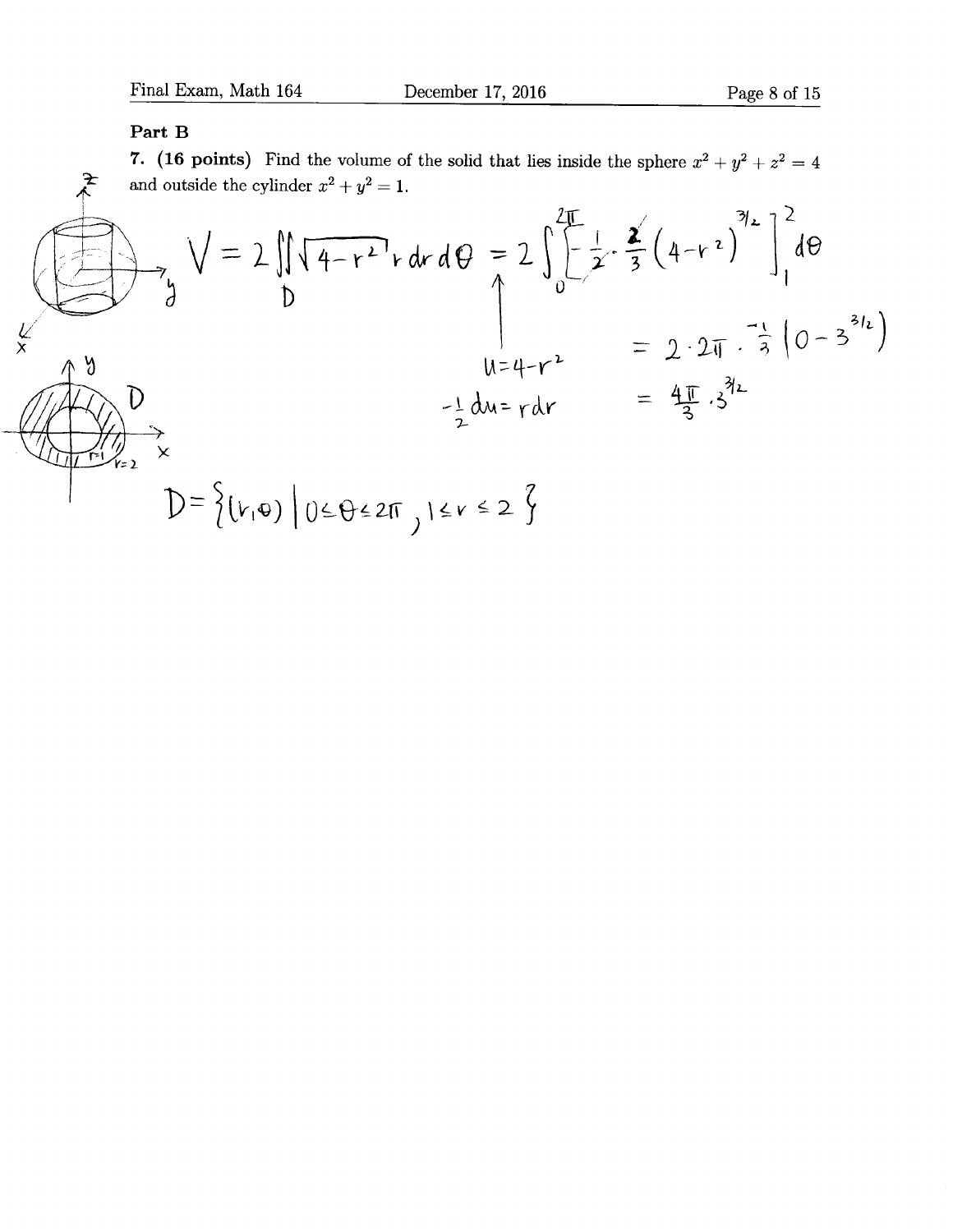#### Part B

7. (16 points) Find the volume of the solid that lies inside the sphere  $x^2 + y^2 + z^2 = 4$ and outside the cylinder  $x^2 + y^2 = 1$ .

$$
\sqrt{4-r^{2}} \cdot d\theta = 2 \int_{0}^{2\pi} \left[ \frac{1}{2} \cdot \frac{2}{3} (4-r^{2})^{3/2} \right]_{1}^{2} d\theta
$$
  
\n
$$
\sqrt{9}
$$
  
\n
$$
\sqrt{9}
$$
  
\n
$$
\sqrt{9}
$$
  
\n
$$
\sqrt{9}
$$
  
\n
$$
\sqrt{9}
$$
  
\n
$$
\sqrt{9}
$$
  
\n
$$
\sqrt{9}
$$
  
\n
$$
\sqrt{9}
$$
  
\n
$$
\sqrt{9}
$$
  
\n
$$
\sqrt{9}
$$
  
\n
$$
\sqrt{9}
$$
  
\n
$$
\sqrt{9}
$$
  
\n
$$
\sqrt{9}
$$
  
\n
$$
\sqrt{9}
$$
  
\n
$$
\sqrt{9}
$$
  
\n
$$
\sqrt{9}
$$
  
\n
$$
\sqrt{9}
$$
  
\n
$$
\sqrt{9}
$$
  
\n
$$
\sqrt{9}
$$
  
\n
$$
\sqrt{9}
$$
  
\n
$$
\sqrt{9}
$$
  
\n
$$
\sqrt{9}
$$
  
\n
$$
\sqrt{9}
$$
  
\n
$$
\sqrt{9}
$$
  
\n
$$
\sqrt{9}
$$
  
\n
$$
\sqrt{9}
$$
  
\n
$$
\sqrt{9}
$$
  
\n
$$
\sqrt{9}
$$
  
\n
$$
\sqrt{9}
$$
  
\n
$$
\sqrt{9}
$$
  
\n
$$
\sqrt{9}
$$
  
\n
$$
\sqrt{9}
$$
  
\n
$$
\sqrt{9}
$$
  
\n
$$
\sqrt{9}
$$
  
\n
$$
\sqrt{9}
$$
  
\n
$$
\sqrt{9}
$$
  
\n
$$
\sqrt{9}
$$
  
\n
$$
\sqrt{9}
$$
  
\n
$$
\sqrt{9}
$$
  
\n
$$
\sqrt{9}
$$
  
\n
$$
\sqrt{9}
$$
  
\n
$$
\sqrt{9}
$$
  
\n
$$
\sqrt{9}
$$
  
\n
$$
\sqrt{9}
$$
  
\n
$$
\sqrt{9}
$$
  
\n
$$
\sqrt{9}
$$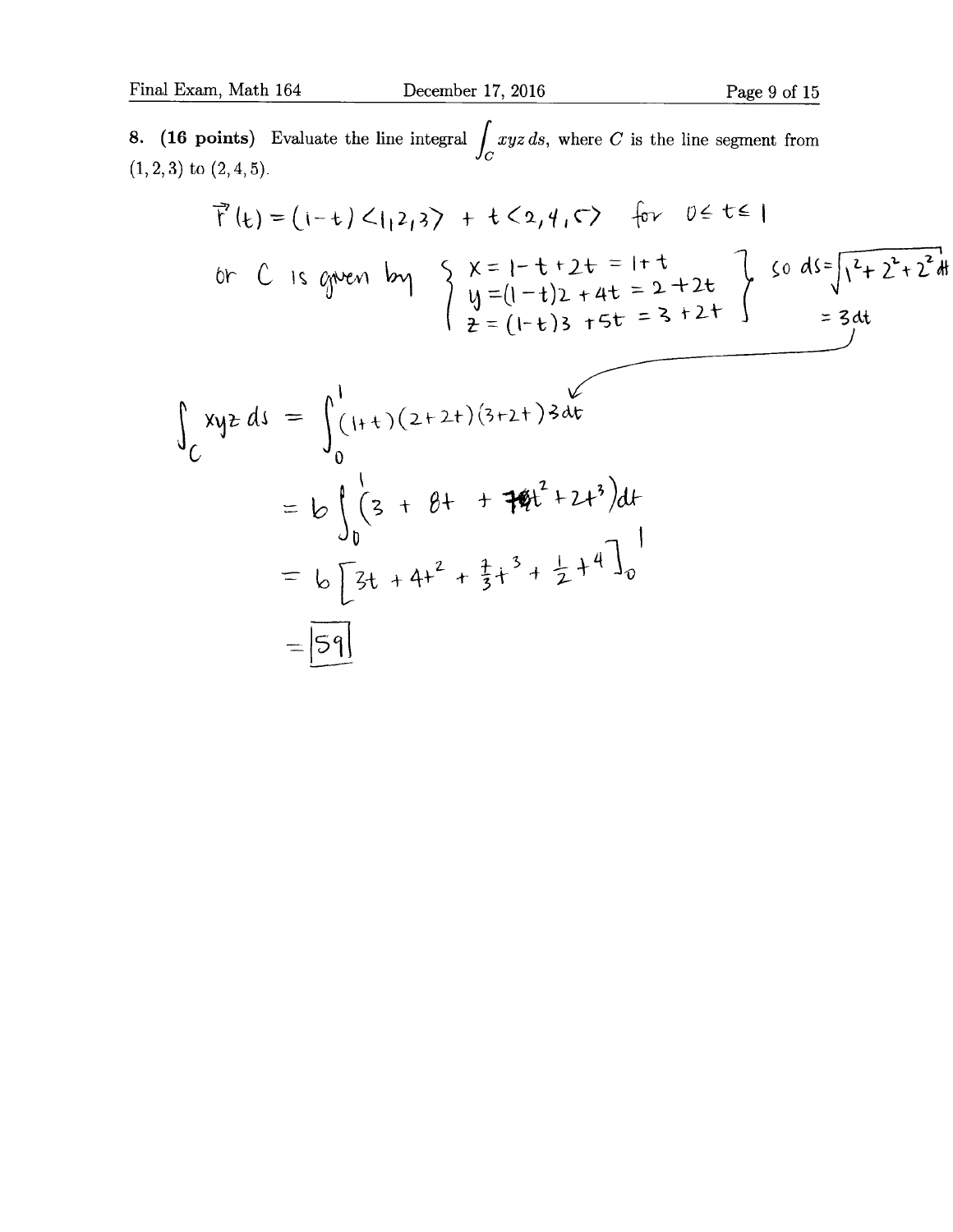8. (16 points) Evaluate the line integral  $\int xyz ds$ , where C is the line segment from  $(1,2,3)$  to  $(2,4,5)$ .

$$
\vec{r}(t) = (1-t) < 1, 2, 3 \rightarrow + \frac{1}{2}, 4, \vec{r} \rightarrow \vec{r} \quad \text{for} \quad 0 \in t \in I
$$
\nor C is given by

\n
$$
\begin{cases}\n x = 1 - t + 2t = 1 + t \\
y = (1-t)2 + 4t = 2 + 2t \\
z = (1-t)3 + 5t = 3 + 2t\n \end{cases}
$$
\nso  $ds = \sqrt{\frac{2}{1-t}2 + 2t}dt$ 

\n
$$
\begin{cases}\n xyz \, ds = \int_{0}^{1} (1+t)(2+2t)(3+2t)3dt \\
0 = b \int_{0}^{1} (3 + 8t + 7t^2 + 2t^3)dt \\
0 = b \left[3t + 4t^2 + \frac{1}{3}t^3 + \frac{1}{2}t^4\right]_{0}^{1}\n \end{cases}
$$
\n
$$
= \boxed{59}
$$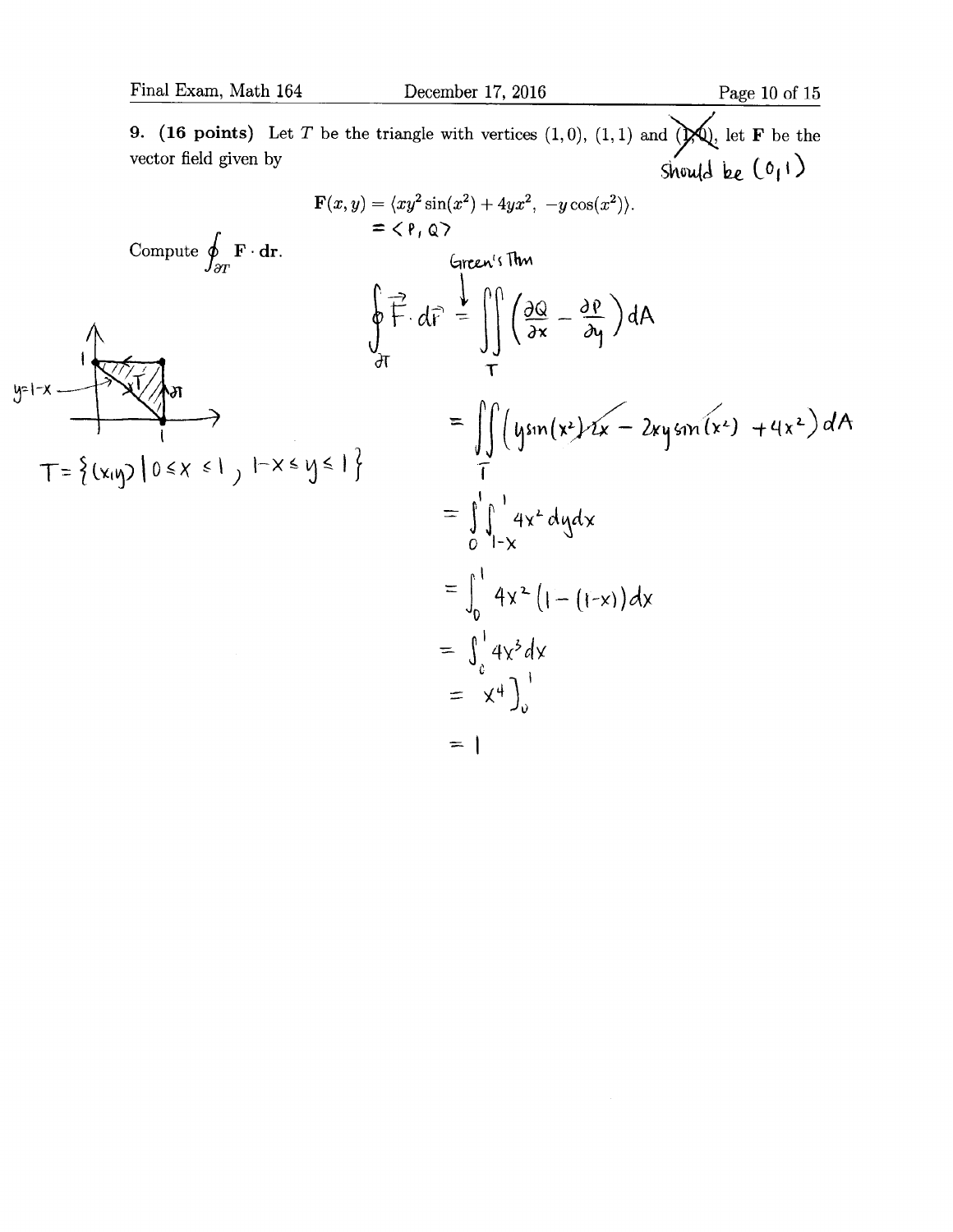**9.** (16 points) Let T be the triangle with vertices  $(1,0)$ ,  $(1,1)$  and  $\overrightarrow{Q}$ , let **F** be the vector field given by  $\left(0,1\right)$ 

$$
F(x, y) = \langle xy^{2} \sin(x^{2}) + 4yx^{2}, -y \cos(x^{2}) \rangle.
$$
\n
$$
= \langle P, Q \rangle
$$
\n
$$
= \langle P, Q \rangle
$$
\n
$$
= \langle P, Q \rangle
$$
\n
$$
= \langle P, Q \rangle
$$
\n
$$
= \langle P, Q \rangle
$$
\n
$$
\oint_{\partial T} \vec{F} \cdot d\vec{r} = \iint_{T} \left( \frac{\partial Q}{\partial x} - \frac{\partial P}{\partial y} \right) dA
$$
\n
$$
= \iint_{C} \left( y \sin(x^{2}) \cdot 2x - 2xy \sin(x^{2}) + 4x^{2} \right) dA
$$
\n
$$
= \int_{0}^{1} \int_{1-x}^{1} 4x^{2} dy dx
$$
\n
$$
= \int_{0}^{1} 4x^{2} (1 - (1-x)) dx
$$
\n
$$
= \int_{0}^{1} 4x^{2} dy
$$
\n
$$
= \int_{0}^{1} 4x^{2} dy
$$
\n
$$
= \int_{0}^{1} 4x^{2} dy
$$
\n
$$
= \int_{0}^{1} 4x^{2} dy
$$
\n
$$
= \int_{0}^{1} 4x^{2} dy
$$
\n
$$
= \int_{0}^{1} 4x^{2} dy
$$
\n
$$
= \left( \frac{1}{2} \right) \left( \frac{1}{2} \right) \left( \frac{1}{2} \right) \left( \frac{1}{2} \right) \left( \frac{1}{2} \right) \left( \frac{1}{2} \right) \left( \frac{1}{2} \right) \left( \frac{1}{2} \right) \left( \frac{1}{2} \right) \left( \frac{1}{2} \right) \left( \frac{1}{2} \right) \left( \frac{1}{2} \right) \left( \frac{1}{2} \right) \left( \frac{1}{2} \right) \left( \frac{1}{2} \right) \left( \frac{1}{2} \right) \left( \frac{1}{2} \right) \left( \frac{1}{2} \right) \left( \frac{1}{2} \right) \left( \frac{1}{2} \right) \left( \frac{1}{2} \right) \left( \frac{
$$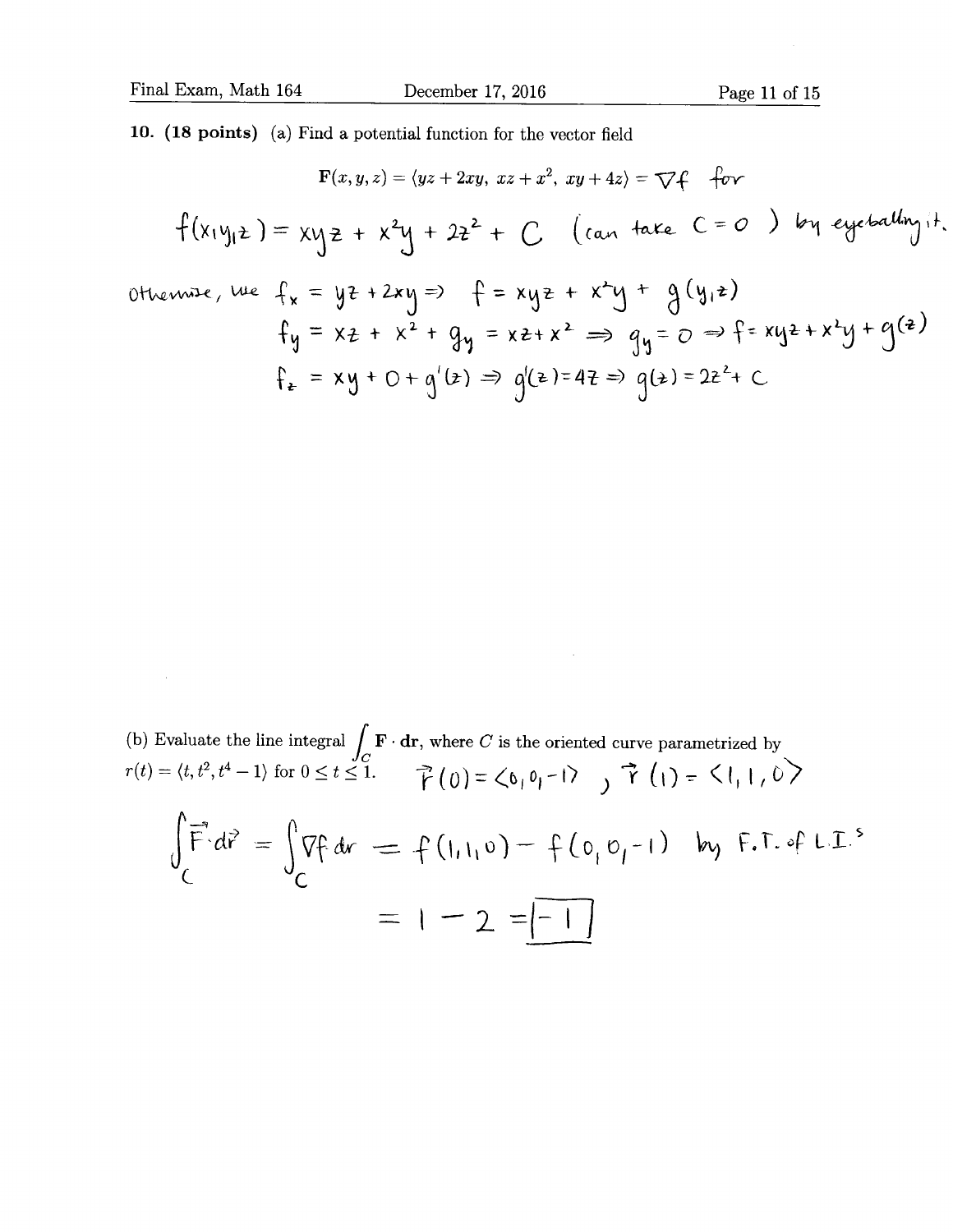$\sim$ 

10. (18 points) (a) Find a potential function for the vector field

$$
F(x, y, z) = \langle yz + 2xy, xz + x^2, xy + 4z \rangle = \nabla f
$$
 for  
\n
$$
f(x_1y_1z) = xy_2 + x^2y + 2z^2 + C
$$
 (can take  $C = 0$ ) by *expectability* if  
\notherwise,  $\forall u \in f_x = yz + 2xy = 0$   $f = xyz + x^2y + g(y_1z)$   
\n
$$
f_y = xz + x^2 + g_y = xz + x^2 \implies g_y = 0 \implies f = xyz + x^2y + g(z)
$$
\n
$$
f_z = xy + 0 + g'(z) \implies g'(z) = 4z \implies g(z) = 2z^2 + C
$$

(b) Evaluate the line integral  $\int_C \mathbf{F} \cdot d\mathbf{r}$ , where *C* is the oriented curve parametrized by<br>  $r(t) = \langle t, t^2, t^4 - 1 \rangle$  for  $0 \le t \le 1$ .<br>  $\vec{r}(0) = \langle b_1 b_1 - 1 \rangle$ ,  $\vec{r}(1) = \langle 1, 1, 0 \rangle$  $\int_{C} \vec{F} \cdot d\vec{r} = \int_{C} \nabla f \, dr = f(1,1,0) - f(0,0,-1)$  by  $F.T. of L.I.$  $= 1 - 2 = \boxed{-1}$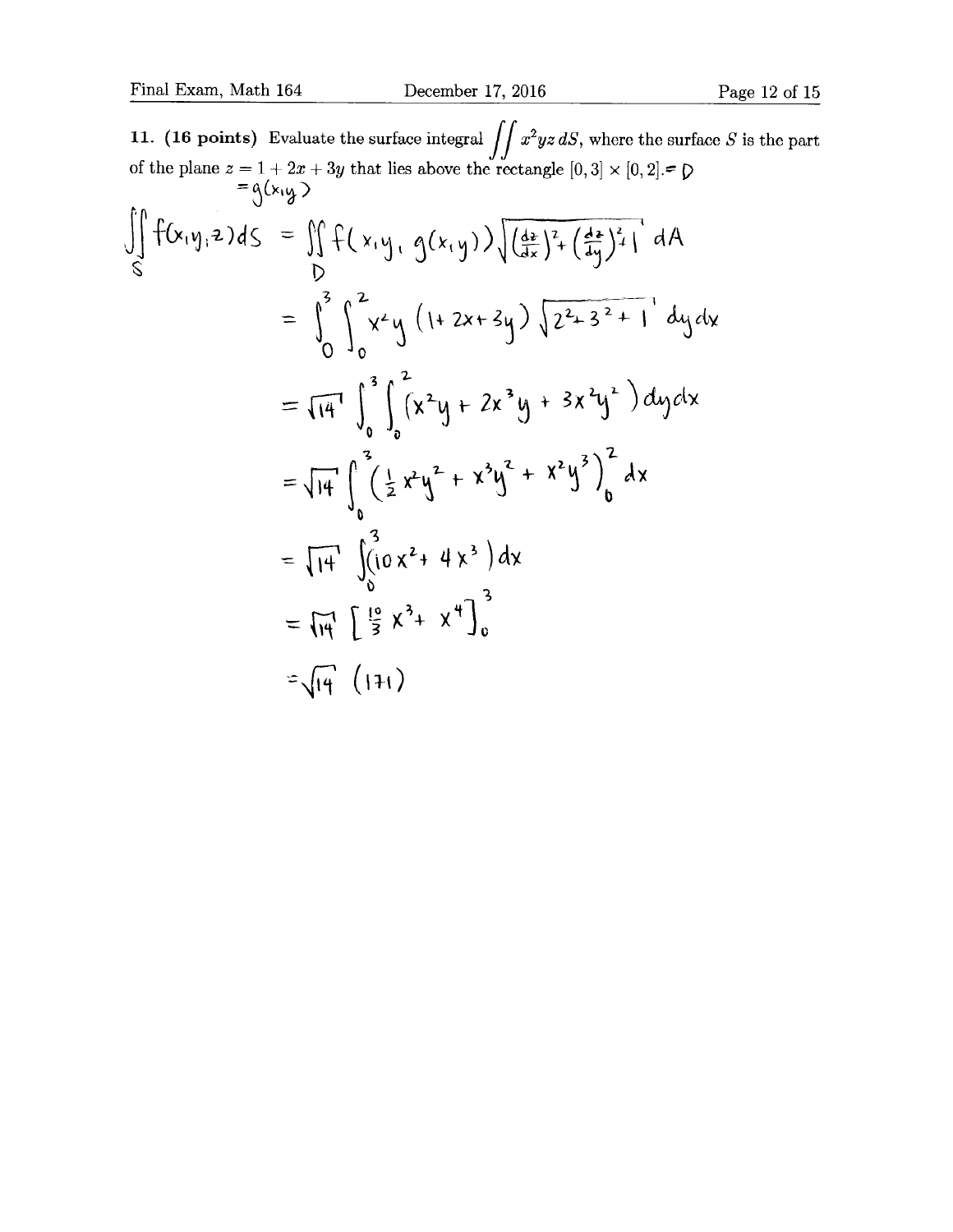11. (16 points) Evaluate the surface integral  $\iint x^2yz dS$ , where the surface S is the part of the plane  $z = 1 + 2x + 3y$  that lies above the rectangle  $[0,3] \times [0,2]$ .  $= g(x, y)$  $\iint_{R} f(x,y,z) ds = \iint_{R} f(x,y, g(x,y)) \sqrt{\left(\frac{dx}{dx}\right)^2 + \left(\frac{dx}{dy}\right)^2 + 1} dA$ =  $\int_{0}^{3} \int_{0}^{2} x^{2}y \left(1+2x+3y\right) \sqrt{2^{2}+3^{2}+1} dy dy$ 0  $= \sqrt{14} \int_{0}^{3} \int_{0}^{2} (x^{2}y + 2x^{3}y + 3x^{2}y^{2}) dy dx$ = $\sqrt{14}\int_{0}^{3} \left(\frac{1}{2}x^{2}y^{2} + x^{3}y^{2} + x^{2}y^{3}\right)_{0}^{2} dx$ =  $\sqrt{14}$   $\left( \sqrt{10}x^2 + 4x^3 \right) dx$  $\frac{1}{\sqrt{3}}$  $=$   $\sqrt{14}$   $\int \frac{19}{3} x^3 + x^4 \Big]_0^3$  $=\sqrt{14}$  (171)